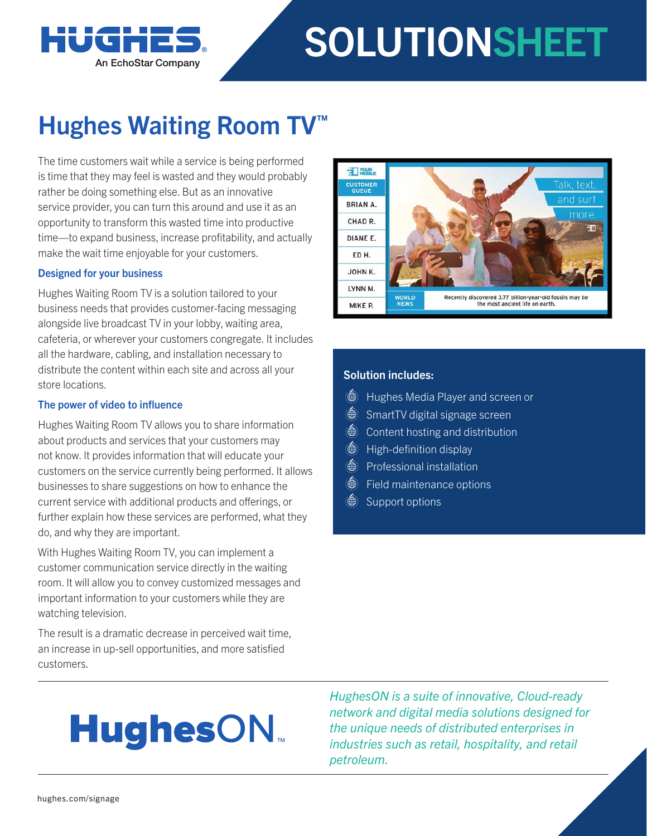

# SOLUTIONSHEET

### Hughes Waiting Room TV<sup>™</sup>

The time customers wait while a service is being performed is time that they may feel is wasted and they would probably rather be doing something else. But as an innovative service provider, you can turn this around and use it as an opportunity to transform this wasted time into productive time—to expand business, increase profitability, and actually make the wait time enjoyable for your customers.

#### Designed for your business

Hughes Waiting Room TV is a solution tailored to your business needs that provides customer-facing messaging alongside live broadcast TV in your lobby, waiting area, cafeteria, or wherever your customers congregate. It includes all the hardware, cabling, and installation necessary to distribute the content within each site and across all your store locations.

#### The power of video to influence

Hughes Waiting Room TV allows you to share information about products and services that your customers may not know. It provides information that will educate your customers on the service currently being performed. It allows businesses to share suggestions on how to enhance the current service with additional products and offerings, or further explain how these services are performed, what they do, and why they are important.

With Hughes Waiting Room TV, you can implement a customer communication service directly in the waiting room. It will allow you to convey customized messages and important information to your customers while they are watching television.

The result is a dramatic decrease in perceived wait time, an increase in up-sell opportunities, and more satisfied customers.



#### Solution includes:

- **Hughes Media Player and screen or**
- **SmartTV** digital signage screen
- *Securement* hosting and distribution
- **A** High-definition display
- *<u>A</u>* Professional installation
- *Set Field maintenance options*
- Support options

## **HughesON**

*HughesON is a suite of innovative, Cloud-ready network and digital media solutions designed for the unique needs of distributed enterprises in industries such as retail, hospitality, and retail petroleum.*